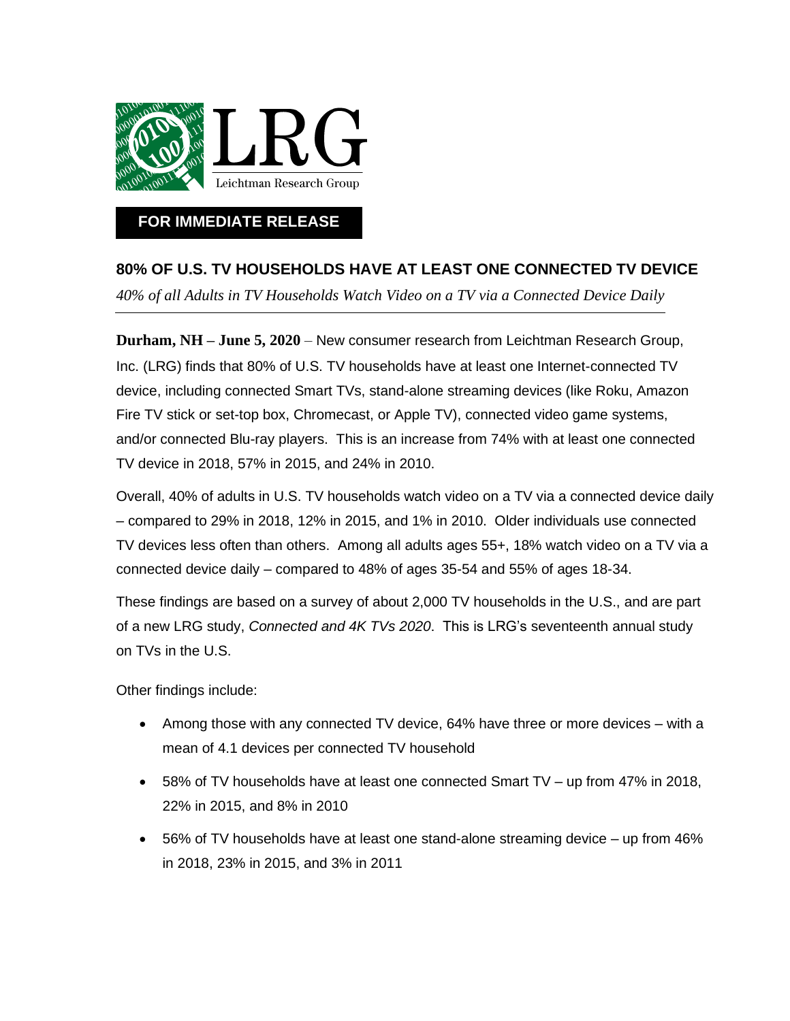

## **FOR IMMEDIATE RELEASE**

## **80% OF U.S. TV HOUSEHOLDS HAVE AT LEAST ONE CONNECTED TV DEVICE**

*40% of all Adults in TV Households Watch Video on a TV via a Connected Device Daily*

**Durham, NH – June 5, 2020** – New consumer research from Leichtman Research Group, Inc. (LRG) finds that 80% of U.S. TV households have at least one Internet-connected TV device, including connected Smart TVs, stand-alone streaming devices (like Roku, Amazon Fire TV stick or set-top box, Chromecast, or Apple TV), connected video game systems, and/or connected Blu-ray players. This is an increase from 74% with at least one connected TV device in 2018, 57% in 2015, and 24% in 2010.

Overall, 40% of adults in U.S. TV households watch video on a TV via a connected device daily – compared to 29% in 2018, 12% in 2015, and 1% in 2010. Older individuals use connected TV devices less often than others. Among all adults ages 55+, 18% watch video on a TV via a connected device daily – compared to 48% of ages 35-54 and 55% of ages 18-34.

These findings are based on a survey of about 2,000 TV households in the U.S., and are part of a new LRG study, *Connected and 4K TVs 2020*. This is LRG's seventeenth annual study on TVs in the U.S.

Other findings include:

- Among those with any connected TV device, 64% have three or more devices with a mean of 4.1 devices per connected TV household
- 58% of TV households have at least one connected Smart TV up from 47% in 2018, 22% in 2015, and 8% in 2010
- 56% of TV households have at least one stand-alone streaming device up from 46% in 2018, 23% in 2015, and 3% in 2011